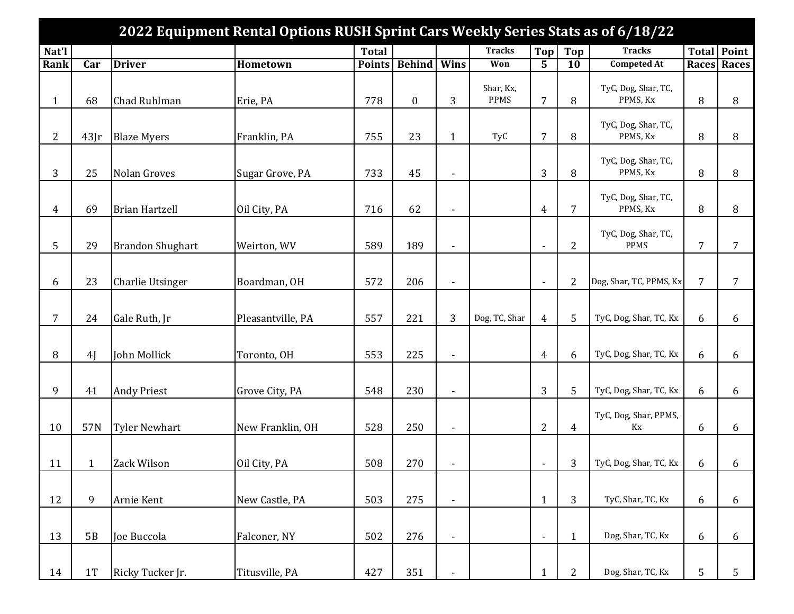|                |              |                         | 2022 Equipment Rental Options RUSH Sprint Cars Weekly Series Stats as of 6/18/22 |               |                  |                          |                          |                          |                 |                                 |                |                    |
|----------------|--------------|-------------------------|----------------------------------------------------------------------------------|---------------|------------------|--------------------------|--------------------------|--------------------------|-----------------|---------------------------------|----------------|--------------------|
| Nat'l          |              |                         |                                                                                  | <b>Total</b>  |                  |                          | <b>Tracks</b>            | Top                      | <b>Top</b>      | <b>Tracks</b>                   |                | Total Point        |
| Rank           | Car          | <b>Driver</b>           | Hometown                                                                         | <b>Points</b> | <b>Behind</b>    | Wins                     | Won                      | $\overline{5}$           | $\overline{10}$ | <b>Competed At</b>              |                | <b>Races Races</b> |
| $\mathbf{1}$   | 68           | Chad Ruhlman            | Erie, PA                                                                         | 778           | $\boldsymbol{0}$ | 3                        | Shar, Kx,<br><b>PPMS</b> | 7                        | 8               | TyC, Dog, Shar, TC,<br>PPMS, Kx | 8              | 8                  |
| $\overline{2}$ | 43[r]        | <b>Blaze Myers</b>      | Franklin, PA                                                                     | 755           | 23               | $\mathbf{1}$             | TyC                      | 7                        | 8               | TyC, Dog, Shar, TC,<br>PPMS, Kx | 8              | 8                  |
| 3              | 25           | Nolan Groves            | Sugar Grove, PA                                                                  | 733           | 45               | $\overline{\phantom{a}}$ |                          | 3                        | 8               | TyC, Dog, Shar, TC,<br>PPMS, Kx | 8              | 8                  |
| $\overline{4}$ | 69           | <b>Brian Hartzell</b>   | Oil City, PA                                                                     | 716           | 62               | $\overline{\phantom{a}}$ |                          | $\overline{4}$           | $\overline{7}$  | TyC, Dog, Shar, TC,<br>PPMS, Kx | 8              | 8                  |
| 5              | 29           | <b>Brandon Shughart</b> | Weirton, WV                                                                      | 589           | 189              | $\overline{\phantom{a}}$ |                          | $\overline{\phantom{a}}$ | 2               | TyC, Dog, Shar, TC,<br>PPMS     | $\overline{7}$ | 7                  |
| 6              | 23           | <b>Charlie Utsinger</b> | Boardman, OH                                                                     | 572           | 206              | $\overline{\phantom{a}}$ |                          | $\overline{\phantom{a}}$ | $\overline{2}$  | Dog, Shar, TC, PPMS, Kx         | $\overline{7}$ | 7                  |
| $\overline{7}$ | 24           | Gale Ruth, Jr           | Pleasantville, PA                                                                | 557           | 221              | 3                        | Dog, TC, Shar            | $\overline{4}$           | 5               | TyC, Dog, Shar, TC, Kx          | 6              | 6                  |
| 8              | 4J           | John Mollick            | Toronto, OH                                                                      | 553           | 225              | $\overline{\phantom{0}}$ |                          | $\overline{4}$           | 6               | TyC, Dog, Shar, TC, Kx          | 6              | 6                  |
| 9              | 41           | <b>Andy Priest</b>      | Grove City, PA                                                                   | 548           | 230              | $\overline{\phantom{a}}$ |                          | 3                        | 5               | TyC, Dog, Shar, TC, Kx          | 6              | 6                  |
| 10             | 57N          | <b>Tyler Newhart</b>    | New Franklin, OH                                                                 | 528           | 250              | $\overline{\phantom{a}}$ |                          | $\overline{2}$           | $\overline{4}$  | TyC, Dog, Shar, PPMS,<br>Kx     | 6              | 6                  |
| 11             | $\mathbf{1}$ | Zack Wilson             | Oil City, PA                                                                     | 508           | 270              | $\overline{\phantom{a}}$ |                          | $\overline{\phantom{a}}$ | 3               | TyC, Dog, Shar, TC, Kx          | 6              | 6                  |
| 12             | 9            | Arnie Kent              | New Castle, PA                                                                   | 503           | 275              | $\blacksquare$           |                          | $\mathbf{1}$             | 3               | TyC, Shar, TC, Kx               | 6              | 6                  |
| 13             | 5B           | Joe Buccola             | Falconer, NY                                                                     | 502           | 276              | $\blacksquare$           |                          | $\overline{\phantom{a}}$ | $\mathbf{1}$    | Dog, Shar, TC, Kx               | 6              | 6                  |
| 14             | 1T           | Ricky Tucker Jr.        | Titusville, PA                                                                   | 427           | 351              |                          |                          | $\mathbf{1}$             | 2               | Dog, Shar, TC, Kx               | 5              | 5                  |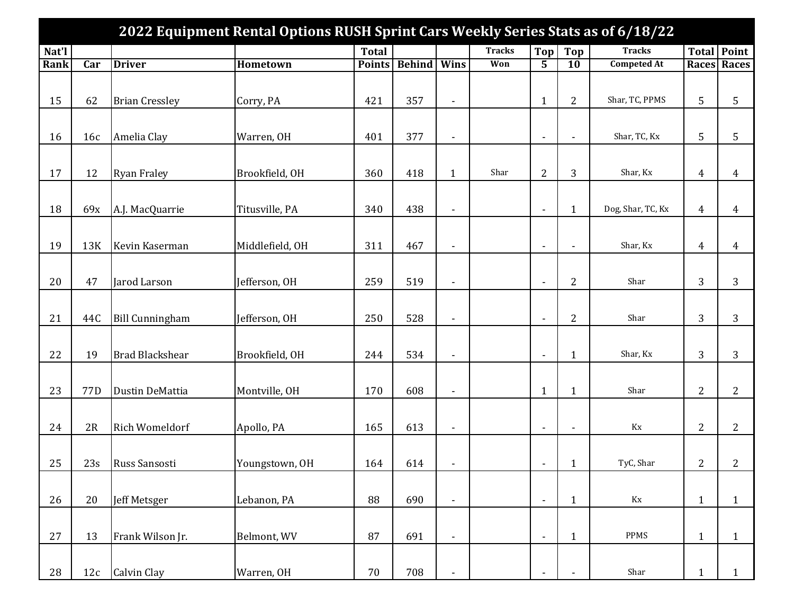|       |                 |                        | 2022 Equipment Rental Options RUSH Sprint Cars Weekly Series Stats as of 6/18/22 |               |               |                          |               |                          |                          |                            |                |                    |
|-------|-----------------|------------------------|----------------------------------------------------------------------------------|---------------|---------------|--------------------------|---------------|--------------------------|--------------------------|----------------------------|----------------|--------------------|
| Nat'l |                 |                        |                                                                                  | <b>Total</b>  |               |                          | <b>Tracks</b> | Top                      | Top                      | <b>Tracks</b>              |                | <b>Total Point</b> |
| Rank  | Car             | <b>Driver</b>          | <b>Hometown</b>                                                                  | <b>Points</b> | <b>Behind</b> | Wins                     | Won           | $\overline{5}$           | $\overline{10}$          | <b>Competed At</b>         |                | <b>Races Races</b> |
|       |                 |                        |                                                                                  |               |               |                          |               |                          |                          |                            |                |                    |
| 15    | 62              | <b>Brian Cressley</b>  | Corry, PA                                                                        | 421           | 357           | $\overline{\phantom{a}}$ |               | $\mathbf{1}$             | $\overline{c}$           | Shar, TC, PPMS             | 5              | 5                  |
|       |                 |                        |                                                                                  |               |               |                          |               |                          |                          |                            |                |                    |
| 16    | 16c             | Amelia Clay            | Warren, OH                                                                       | 401           | 377           | $\overline{\phantom{a}}$ |               | $\overline{\phantom{a}}$ | $\overline{\phantom{a}}$ | Shar, TC, Kx               | 5              | 5                  |
|       |                 |                        |                                                                                  |               |               |                          |               |                          |                          |                            |                |                    |
| 17    | 12              | <b>Ryan Fraley</b>     | Brookfield, OH                                                                   | 360           | 418           | $\mathbf{1}$             | Shar          | $\overline{c}$           | 3                        | Shar, Kx                   | $\overline{4}$ | 4                  |
|       |                 |                        |                                                                                  |               |               |                          |               |                          |                          |                            |                |                    |
| 18    | 69x             | A.J. MacQuarrie        | Titusville, PA                                                                   | 340           | 438           | $\overline{\phantom{a}}$ |               | $\blacksquare$           | $\mathbf{1}$             | Dog, Shar, TC, Kx          | $\overline{4}$ | 4                  |
| 19    | 13K             | Kevin Kaserman         | Middlefield, OH                                                                  | 311           | 467           | $\overline{\phantom{a}}$ |               | $\overline{\phantom{a}}$ | $\blacksquare$           | Shar, Kx                   | $\overline{4}$ | 4                  |
|       |                 |                        |                                                                                  |               |               |                          |               |                          |                          |                            |                |                    |
| 20    | 47              | Jarod Larson           | Jefferson, OH                                                                    | 259           | 519           | $\overline{\phantom{a}}$ |               | $\overline{\phantom{a}}$ | $\overline{2}$           | Shar                       | 3              | 3                  |
|       |                 |                        |                                                                                  |               |               |                          |               |                          |                          |                            |                |                    |
| 21    | 44C             | <b>Bill Cunningham</b> | Jefferson, OH                                                                    | 250           | 528           | $\overline{\phantom{a}}$ |               | $\overline{\phantom{a}}$ | $\overline{2}$           | Shar                       | 3              | 3                  |
|       |                 |                        |                                                                                  |               |               |                          |               |                          |                          |                            |                |                    |
| 22    | 19              | <b>Brad Blackshear</b> | Brookfield, OH                                                                   | 244           | 534           | $\overline{\phantom{a}}$ |               | $\overline{\phantom{a}}$ | $\mathbf{1}$             | Shar, Kx                   | 3              | 3                  |
|       |                 |                        |                                                                                  |               |               |                          |               |                          |                          |                            |                |                    |
| 23    | 77 <sub>D</sub> | Dustin DeMattia        | Montville, OH                                                                    | 170           | 608           | $\overline{a}$           |               | $\mathbf{1}$             | $\mathbf{1}$             | Shar                       | $\overline{2}$ | $\overline{c}$     |
|       |                 |                        |                                                                                  |               |               |                          |               |                          |                          |                            |                |                    |
| 24    | 2R              | <b>Rich Womeldorf</b>  | Apollo, PA                                                                       | 165           | 613           | $\overline{\phantom{a}}$ |               | $\overline{\phantom{a}}$ | $\blacksquare$           | Kx                         | $\overline{2}$ | $\overline{c}$     |
| 25    | 23s             | Russ Sansosti          | Youngstown, OH                                                                   | 164           | 614           | $\overline{\phantom{a}}$ |               | $\overline{\phantom{a}}$ | 1                        | TyC, Shar                  | $\overline{2}$ | 2                  |
|       |                 |                        |                                                                                  |               |               |                          |               |                          |                          |                            |                |                    |
| 26    | 20              | Jeff Metsger           | Lebanon, PA                                                                      | 88            | 690           | $\frac{1}{2}$            |               | $\blacksquare$           | $\mathbf{1}$             | $\mathop{\rm Kx}\nolimits$ | $\mathbf{1}$   | $\mathbf{1}$       |
|       |                 |                        |                                                                                  |               |               |                          |               |                          |                          |                            |                |                    |
| 27    | 13              | Frank Wilson Jr.       | Belmont, WV                                                                      | 87            | 691           | $\frac{1}{2}$            |               | $\blacksquare$           | $\mathbf{1}$             | PPMS                       | $\mathbf{1}$   | $\mathbf{1}$       |
|       |                 |                        |                                                                                  |               |               |                          |               |                          |                          |                            |                |                    |
| 28    | 12c             | Calvin Clay            | Warren, OH                                                                       | $70\,$        | 708           |                          |               |                          |                          | Shar                       | $\mathbf{1}$   | $\mathbf{1}$       |